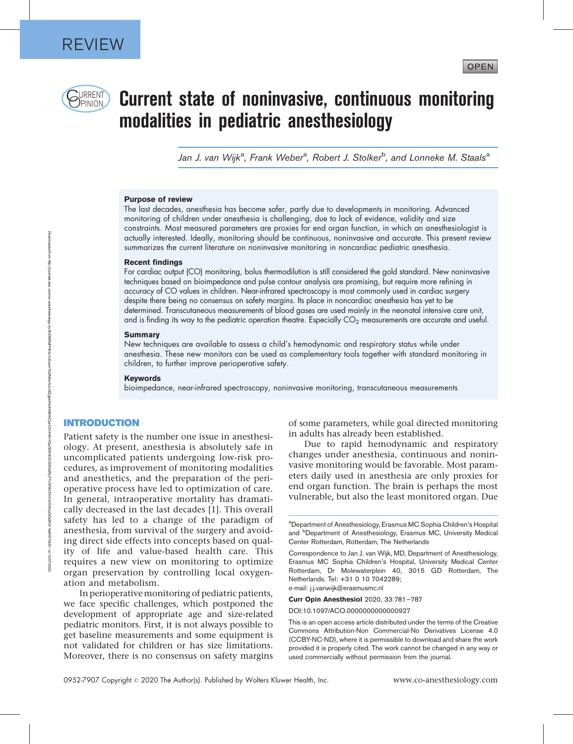# **OPEN**

## DRRENT Current state of noninvasive, continuous monitoring modalities in pediatric anesthesiology

Jan J. van Wijk<sup>a</sup>, Frank Weber<sup>a</sup>, Robert J. Stolker<sup>b</sup>, and Lonneke M. Staals<sup>a</sup>

#### Purpose of review

The last decades, anesthesia has become safer, partly due to developments in monitoring. Advanced monitoring of children under anesthesia is challenging, due to lack of evidence, validity and size constraints. Most measured parameters are proxies for end organ function, in which an anesthesiologist is actually interested. Ideally, monitoring should be continuous, noninvasive and accurate. This present review summarizes the current literature on noninvasive monitoring in noncardiac pediatric anesthesia.

#### Recent findings

For cardiac output (CO) monitoring, bolus thermodilution is still considered the gold standard. New noninvasive techniques based on bioimpedance and pulse contour analysis are promising, but require more refining in accuracy of CO values in children. Near-infrared spectroscopy is most commonly used in cardiac surgery despite there being no consensus on safety margins. Its place in noncardiac anesthesia has yet to be determined. Transcutaneous measurements of blood gases are used mainly in the neonatal intensive care unit, and is finding its way to the pediatric operation theatre. Especially  $CO<sub>2</sub>$  measurements are accurate and useful.

#### **Summary**

New techniques are available to assess a child's hemodynamic and respiratory status while under anesthesia. These new monitors can be used as complementary tools together with standard monitoring in children, to further improve perioperative safety.

#### Keywords

bioimpedance, near-infrared spectroscopy, noninvasive monitoring, transcutaneous measurements

#### INTRODUCTION

Patient safety is the number one issue in anesthesiology. At present, anesthesia is absolutely safe in uncomplicated patients undergoing low-risk procedures, as improvement of monitoring modalities and anesthetics, and the preparation of the perioperative process have led to optimization of care. In general, intraoperative mortality has dramatically decreased in the last decades [1]. This overall safety has led to a change of the paradigm of anesthesia, from survival of the surgery and avoiding direct side effects into concepts based on quality of life and value-based health care. This requires a new view on monitoring to optimize organ preservation by controlling local oxygenation and metabolism.

In perioperative monitoring of pediatric patients, we face specific challenges, which postponed the development of appropriate age and size-related pediatric monitors. First, it is not always possible to get baseline measurements and some equipment is not validated for children or has size limitations. Moreover, there is no consensus on safety margins of some parameters, while goal directed monitoring in adults has already been established.

Due to rapid hemodynamic and respiratory changes under anesthesia, continuous and noninvasive monitoring would be favorable. Most parameters daily used in anesthesia are only proxies for end organ function. The brain is perhaps the most vulnerable, but also the least monitored organ. Due

Curr Opin Anesthesiol 2020, 33:781–787

DOI:10.1097/ACO.0000000000000927

<sup>&</sup>lt;sup>a</sup>Department of Anesthesiology, Erasmus MC Sophia Children's Hospital and <sup>b</sup>Department of Anesthesiology, Erasmus MC, University Medical Center Rotterdam, Rotterdam, The Netherlands

Correspondence to Jan J. van Wijk, MD, Department of Anesthesiology, Erasmus MC Sophia Children's Hospital, University Medical Center Rotterdam, Dr Molewaterplein 40, 3015 GD Rotterdam, The Netherlands. Tel: +31 0 10 7042289; e-mail: j.j.vanwijk@erasmusmc.nl

This is an open access article distributed under the terms of the Creative Commons Attribution-Non Commercial-No Derivatives License 4.0 (CCBY-NC-ND), where it is permissible to download and share the work provided it is properly cited. The work cannot be changed in any way or used commercially without permission from the journal.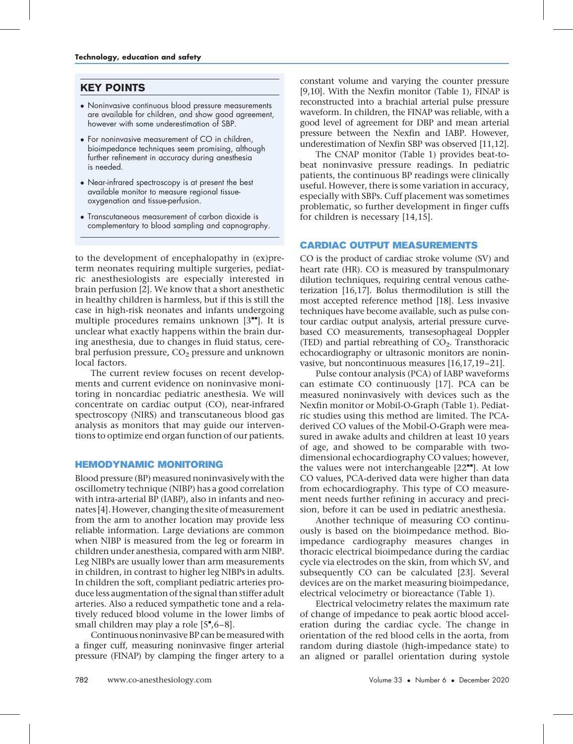### KEY POINTS

- Noninvasive continuous blood pressure measurements are available for children, and show good agreement, however with some underestimation of SBP.
- $\bullet$  For noninvasive measurement of CO in children, bioimpedance techniques seem promising, although further refinement in accuracy during anesthesia is needed.
- Near-infrared spectroscopy is at present the best available monitor to measure regional tissueoxygenation and tissue-perfusion.
- Transcutaneous measurement of carbon dioxide is complementary to blood sampling and capnography.

to the development of encephalopathy in (ex)preterm neonates requiring multiple surgeries, pediatric anesthesiologists are especially interested in brain perfusion [2]. We know that a short anesthetic in healthy children is harmless, but if this is still the case in high-risk neonates and infants undergoing multiple procedures remains unknown  $[3^{\bullet\bullet}]$ . It is unclear what exactly happens within the brain during anesthesia, due to changes in fluid status, cerebral perfusion pressure,  $CO<sub>2</sub>$  pressure and unknown local factors.

The current review focuses on recent developments and current evidence on noninvasive monitoring in noncardiac pediatric anesthesia. We will concentrate on cardiac output (CO), near-infrared spectroscopy (NIRS) and transcutaneous blood gas analysis as monitors that may guide our interventions to optimize end organ function of our patients.

#### HEMODYNAMIC MONITORING

Blood pressure (BP) measured noninvasively with the oscillometry technique (NIBP) has a good correlation with intra-arterial BP (IABP), also in infants and neonates [4]. However, changing the site of measurement from the arm to another location may provide less reliable information. Large deviations are common when NIBP is measured from the leg or forearm in children under anesthesia, compared with arm NIBP. Leg NIBPs are usually lower than arm measurements in children, in contrast to higher leg NIBPs in adults. In children the soft, compliant pediatric arteries produce less augmentation of the signal than stiffer adult arteries. Also a reduced sympathetic tone and a relatively reduced blood volume in the lower limbs of small children may play a role  $[5", 6-8]$ .

Continuous noninvasive BP can be measured with a finger cuff, measuring noninvasive finger arterial pressure (FINAP) by clamping the finger artery to a constant volume and varying the counter pressure [9,10]. With the Nexfin monitor (Table 1), FINAP is reconstructed into a brachial arterial pulse pressure waveform. In children, the FINAP was reliable, with a good level of agreement for DBP and mean arterial pressure between the Nexfin and IABP. However, underestimation of Nexfin SBP was observed [11,12].

The CNAP monitor (Table 1) provides beat-tobeat noninvasive pressure readings. In pediatric patients, the continuous BP readings were clinically useful. However, there is some variation in accuracy, especially with SBPs. Cuff placement was sometimes problematic, so further development in finger cuffs for children is necessary [14,15].

#### CARDIAC OUTPUT MEASUREMENTS

CO is the product of cardiac stroke volume (SV) and heart rate (HR). CO is measured by transpulmonary dilution techniques, requiring central venous catheterization [16,17]. Bolus thermodilution is still the most accepted reference method [18]. Less invasive techniques have become available, such as pulse contour cardiac output analysis, arterial pressure curvebased CO measurements, transesophageal Doppler (TED) and partial rebreathing of  $CO<sub>2</sub>$ . Transthoracic echocardiography or ultrasonic monitors are noninvasive, but noncontinuous measures [16,17,19–21].

Pulse contour analysis (PCA) of IABP waveforms can estimate CO continuously [17]. PCA can be measured noninvasively with devices such as the Nexfin monitor or Mobil-O-Graph (Table 1). Pediatric studies using this method are limited. The PCAderived CO values of the Mobil-O-Graph were measured in awake adults and children at least 10 years of age, and showed to be comparable with twodimensional echocardiography CO values; however, the values were not interchangeable  $[22$ <sup>\*\*</sup>]. At low CO values, PCA-derived data were higher than data from echocardiography. This type of CO measurement needs further refining in accuracy and precision, before it can be used in pediatric anesthesia.

Another technique of measuring CO continuously is based on the bioimpedance method. Bioimpedance cardiography measures changes in thoracic electrical bioimpedance during the cardiac cycle via electrodes on the skin, from which SV, and subsequently CO can be calculated [23]. Several devices are on the market measuring bioimpedance, electrical velocimetry or bioreactance (Table 1).

Electrical velocimetry relates the maximum rate of change of impedance to peak aortic blood acceleration during the cardiac cycle. The change in orientation of the red blood cells in the aorta, from random during diastole (high-impedance state) to an aligned or parallel orientation during systole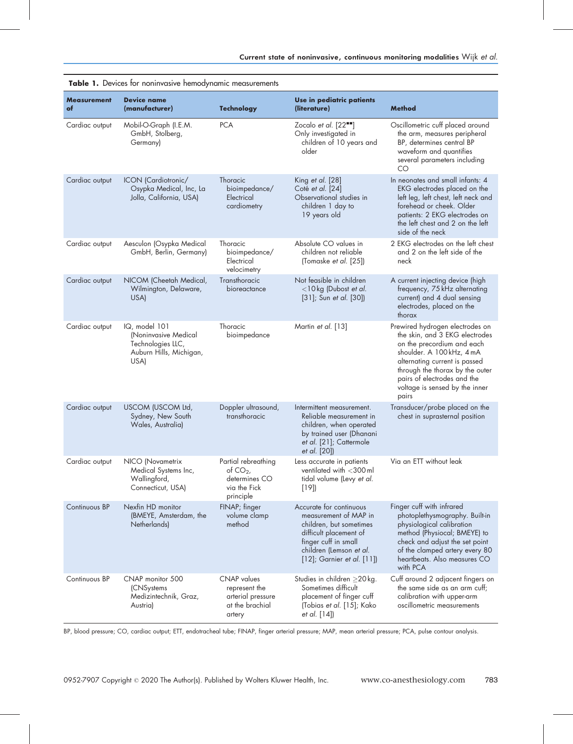| Measurement<br>of | <b>Device name</b><br>(manufacturer)                                                          | <b>Technology</b>                                                                     | Use in pediatric patients<br>(literature)                                                                                                                                              | <b>Method</b>                                                                                                                                                                                                                                                              |
|-------------------|-----------------------------------------------------------------------------------------------|---------------------------------------------------------------------------------------|----------------------------------------------------------------------------------------------------------------------------------------------------------------------------------------|----------------------------------------------------------------------------------------------------------------------------------------------------------------------------------------------------------------------------------------------------------------------------|
| Cardiac output    | Mobil-O-Graph (I.E.M.<br>GmbH, Stolberg,<br>Germany)                                          | <b>PCA</b>                                                                            | Zocalo et al. $[22$ <sup><math>\blacksquare</math></sup> ]<br>Only investigated in<br>children of 10 years and<br>older                                                                | Oscillometric cuff placed around<br>the arm, measures peripheral<br>BP, determines central BP<br>waveform and quantifies<br>several parameters including<br>CO                                                                                                             |
| Cardiac output    | ICON (Cardiotronic/<br>Osypka Medical, Inc, La<br>Jolla, California, USA)                     | Thoracic<br>bioimpedance/<br>Electrical<br>cardiometry                                | King et al. [28]<br>Coté et al. [24]<br>Observational studies in<br>children 1 day to<br>19 years old                                                                                  | In neonates and small infants: 4<br>EKG electrodes placed on the<br>left leg, left chest, left neck and<br>forehead or cheek. Older<br>patients: 2 EKG electrodes on<br>the left chest and 2 on the left<br>side of the neck                                               |
| Cardiac output    | Aesculon (Osypka Medical<br>GmbH, Berlin, Germany)                                            | Thoracic<br>bioimpedance/<br>Electrical<br>velocimetry                                | Absolute CO values in<br>children not reliable<br>(Tomaske et al. [25])                                                                                                                | 2 EKG electrodes on the left chest<br>and 2 on the left side of the<br>neck                                                                                                                                                                                                |
| Cardiac output    | NICOM (Cheetah Medical,<br>Wilmington, Delaware,<br>USA)                                      | Transthoracic<br>bioreactance                                                         | Not feasible in children<br>$<$ 10 kg (Dubost et al.<br>$[31]$ ; Sun et al. $[30]$                                                                                                     | A current injecting device (high<br>frequency, 75 kHz alternating<br>current) and 4 dual sensing<br>electrodes, placed on the<br>thorax                                                                                                                                    |
| Cardiac output    | IQ, model 101<br>(Noninvasive Medical<br>Technologies LLC,<br>Auburn Hills, Michigan,<br>USA) | Thoracic<br>bioimpedance                                                              | Martin et al. [13]                                                                                                                                                                     | Prewired hydrogen electrodes on<br>the skin, and 3 EKG electrodes<br>on the precordium and each<br>shoulder. A 100 kHz, 4 mA<br>alternating current is passed<br>through the thorax by the outer<br>pairs of electrodes and the<br>voltage is sensed by the inner<br>pairs |
| Cardiac output    | USCOM (USCOM Ltd,<br>Sydney, New South<br>Wales, Australia)                                   | Doppler ultrasound,<br>transthoracic                                                  | Intermittent measurement.<br>Reliable measurement in<br>children, when operated<br>by trained user (Dhanani<br>et al. [21]; Cattermole<br>et al. [20])                                 | Transducer/probe placed on the<br>chest in suprasternal position                                                                                                                                                                                                           |
| Cardiac output    | NICO (Novametrix<br>Medical Systems Inc,<br>Wallingford,<br>Connecticut, USA)                 | Partial rebreathing<br>of $CO2$ ,<br>determines CO<br>via the Fick<br>principle       | Less accurate in patients<br>ventilated with $<$ 300 ml<br>tidal volume (Levy et al.<br>$[19]$                                                                                         | Via an ETT without leak                                                                                                                                                                                                                                                    |
| Continuous BP     | Nexfin HD monitor<br>(BMEYE, Amsterdam, the<br>Netherlands)                                   | FINAP; finger<br>volume clamp<br>method                                               | Accurate for continuous<br>measurement of MAP in<br>children, but sometimes<br>difficult placement of<br>finger cuff in small<br>children (Lemson et al.<br>[12]; Garnier et al. [11]) | Finger cuff with infrared<br>photoplethysmography. Built-in<br>physiological calibration<br>method (Physiocal; BMEYE) to<br>check and adjust the set point<br>of the clamped artery every 80<br>heartbeats. Also measures CO<br>with PCA                                   |
| Continuous BP     | CNAP monitor 500<br>(CNSystems<br>Medizintechnik, Graz,<br>Austria)                           | <b>CNAP</b> values<br>represent the<br>arterial pressure<br>at the brachial<br>artery | Studies in children $\geq$ 20 kg.<br>Sometimes difficult<br>placement of finger cuff<br>(Tobias et al. [15]; Kako<br>et al. [14])                                                      | Cuff around 2 adjacent fingers on<br>the same side as an arm cuff;<br>calibration with upper-arm<br>oscillometric measurements                                                                                                                                             |

#### Table 1. Devices for noninvasive hemodynamic measurements

BP, blood pressure; CO, cardiac output; ETT, endotracheal tube; FINAP, finger arterial pressure; MAP, mean arterial pressure; PCA, pulse contour analysis.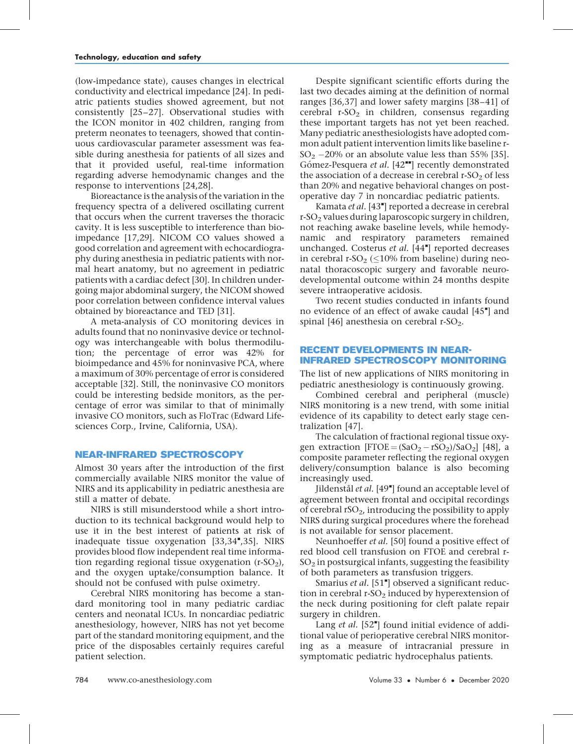(low-impedance state), causes changes in electrical conductivity and electrical impedance [24]. In pediatric patients studies showed agreement, but not consistently [25–27]. Observational studies with the ICON monitor in 402 children, ranging from preterm neonates to teenagers, showed that continuous cardiovascular parameter assessment was feasible during anesthesia for patients of all sizes and that it provided useful, real-time information regarding adverse hemodynamic changes and the response to interventions [24,28].

Bioreactance is the analysis of the variation in the frequency spectra of a delivered oscillating current that occurs when the current traverses the thoracic cavity. It is less susceptible to interference than bioimpedance [17,29]. NICOM CO values showed a good correlation and agreement with echocardiography during anesthesia in pediatric patients with normal heart anatomy, but no agreement in pediatric patients with a cardiac defect [30]. In children undergoing major abdominal surgery, the NICOM showed poor correlation between confidence interval values obtained by bioreactance and TED [31].

A meta-analysis of CO monitoring devices in adults found that no noninvasive device or technology was interchangeable with bolus thermodilution; the percentage of error was 42% for bioimpedance and 45% for noninvasive PCA, where a maximum of 30% percentage of error is considered acceptable [32]. Still, the noninvasive CO monitors could be interesting bedside monitors, as the percentage of error was similar to that of minimally invasive CO monitors, such as FloTrac (Edward Lifesciences Corp., Irvine, California, USA).

#### NEAR-INFRARED SPECTROSCOPY

Almost 30 years after the introduction of the first commercially available NIRS monitor the value of NIRS and its applicability in pediatric anesthesia are still a matter of debate.

NIRS is still misunderstood while a short introduction to its technical background would help to use it in the best interest of patients at risk of inadequate tissue oxygenation [33,34",35]. NIRS provides blood flow independent real time information regarding regional tissue oxygenation  $(r-SO<sub>2</sub>)$ , and the oxygen uptake/consumption balance. It should not be confused with pulse oximetry.

Cerebral NIRS monitoring has become a standard monitoring tool in many pediatric cardiac centers and neonatal ICUs. In noncardiac pediatric anesthesiology, however, NIRS has not yet become part of the standard monitoring equipment, and the price of the disposables certainly requires careful patient selection.

Despite significant scientific efforts during the last two decades aiming at the definition of normal ranges [36,37] and lower safety margins [38–41] of cerebral  $r-SO<sub>2</sub>$  in children, consensus regarding these important targets has not yet been reached. Many pediatric anesthesiologists have adopted common adult patient intervention limits like baseline r- $SO<sub>2</sub> - 20%$  or an absolute value less than 55% [35]. Gómez-Pesquera et al. [42<sup>\*\*</sup>] recently demonstrated the association of a decrease in cerebral  $r-SO<sub>2</sub>$  of less than 20% and negative behavioral changes on postoperative day 7 in noncardiac pediatric patients.

Kamata et al. [43"] reported a decrease in cerebral  $r$ -SO<sub>2</sub> values during laparoscopic surgery in children, not reaching awake baseline levels, while hemodynamic and respiratory parameters remained unchanged. Costerus et al. [44"] reported decreases in cerebral r-SO<sub>2</sub> (<10% from baseline) during neonatal thoracoscopic surgery and favorable neurodevelopmental outcome within 24 months despite severe intraoperative acidosis.

Two recent studies conducted in infants found no evidence of an effect of awake caudal [45"] and spinal [46] anesthesia on cerebral  $r$ -SO<sub>2</sub>.

#### RECENT DEVELOPMENTS IN NEAR-INFRARED SPECTROSCOPY MONITORING

The list of new applications of NIRS monitoring in pediatric anesthesiology is continuously growing.

Combined cerebral and peripheral (muscle) NIRS monitoring is a new trend, with some initial evidence of its capability to detect early stage centralization [47].

The calculation of fractional regional tissue oxygen extraction  $[FTOE = (SaO<sub>2</sub> - rSO<sub>2</sub>)/SaO<sub>2</sub>]$  [48], a composite parameter reflecting the regional oxygen delivery/consumption balance is also becoming increasingly used.

Jildenstål *et al*. [49**"**] found an acceptable level of agreement between frontal and occipital recordings of cerebral  $rSO_2$ , introducing the possibility to apply NIRS during surgical procedures where the forehead is not available for sensor placement.

Neunhoeffer et al. [50] found a positive effect of red blood cell transfusion on FTOE and cerebral r- $SO<sub>2</sub>$  in postsurgical infants, suggesting the feasibility of both parameters as transfusion triggers.

Smarius et al. [51"] observed a significant reduction in cerebral  $r$ -SO<sub>2</sub> induced by hyperextension of the neck during positioning for cleft palate repair surgery in children.

Lang et al. [52"] found initial evidence of additional value of perioperative cerebral NIRS monitoring as a measure of intracranial pressure in symptomatic pediatric hydrocephalus patients.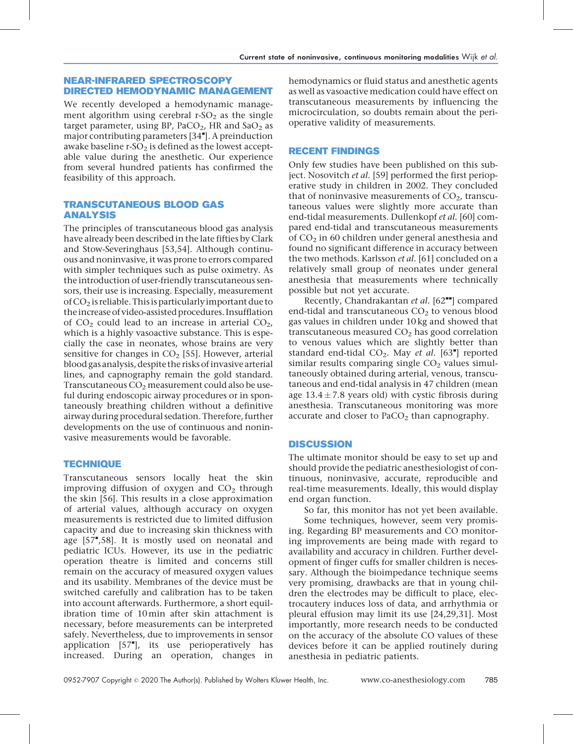#### NEAR-INFRARED SPECTROSCOPY DIRECTED HEMODYNAMIC MANAGEMENT

We recently developed a hemodynamic management algorithm using cerebral  $r$ -SO<sub>2</sub> as the single target parameter, using BP,  $PaCO<sub>2</sub>$ , HR and  $SaO<sub>2</sub>$  as major contributing parameters [34"]. A preinduction awake baseline  $r$ -SO<sub>2</sub> is defined as the lowest acceptable value during the anesthetic. Our experience from several hundred patients has confirmed the feasibility of this approach.

#### TRANSCUTANEOUS BLOOD GAS ANALYSIS

The principles of transcutaneous blood gas analysis have already been described in the late fifties by Clark and Stow-Severinghaus [53,54]. Although continuous and noninvasive, it was prone to errors compared with simpler techniques such as pulse oximetry. As the introduction of user-friendly transcutaneous sensors, their use is increasing. Especially, measurement of  $CO<sub>2</sub>$  is reliable. This is particularly important due to the increase of video-assisted procedures. Insufflation of  $CO<sub>2</sub>$  could lead to an increase in arterial  $CO<sub>2</sub>$ , which is a highly vasoactive substance. This is especially the case in neonates, whose brains are very sensitive for changes in  $CO<sub>2</sub>$  [55]. However, arterial blood gas analysis, despite the risks of invasive arterial lines, and capnography remain the gold standard. Transcutaneous  $CO<sub>2</sub>$  measurement could also be useful during endoscopic airway procedures or in spontaneously breathing children without a definitive airwayduring procedural sedation.Therefore, further developments on the use of continuous and noninvasive measurements would be favorable.

#### **TECHNIQUE**

Transcutaneous sensors locally heat the skin improving diffusion of oxygen and  $CO<sub>2</sub>$  through the skin [56]. This results in a close approximation of arterial values, although accuracy on oxygen measurements is restricted due to limited diffusion capacity and due to increasing skin thickness with age [57",58]. It is mostly used on neonatal and pediatric ICUs. However, its use in the pediatric operation theatre is limited and concerns still remain on the accuracy of measured oxygen values and its usability. Membranes of the device must be switched carefully and calibration has to be taken into account afterwards. Furthermore, a short equilibration time of 10 min after skin attachment is necessary, before measurements can be interpreted safely. Nevertheless, due to improvements in sensor application [57"], its use perioperatively has increased. During an operation, changes in

hemodynamics or fluid status and anesthetic agents as well as vasoactive medication could have effect on transcutaneous measurements by influencing the microcirculation, so doubts remain about the perioperative validity of measurements.

#### RECENT FINDINGS

Only few studies have been published on this subject. Nosovitch et al. [59] performed the first perioperative study in children in 2002. They concluded that of noninvasive measurements of  $CO<sub>2</sub>$ , transcutaneous values were slightly more accurate than end-tidal measurements. Dullenkopf et al. [60] compared end-tidal and transcutaneous measurements of  $CO<sub>2</sub>$  in 60 children under general anesthesia and found no significant difference in accuracy between the two methods. Karlsson et al. [61] concluded on a relatively small group of neonates under general anesthesia that measurements where technically possible but not yet accurate.

Recently, Chandrakantan et al. [62<sup>\*\*</sup>] compared end-tidal and transcutaneous  $CO<sub>2</sub>$  to venous blood gas values in children under 10 kg and showed that transcutaneous measured  $CO<sub>2</sub>$  has good correlation to venous values which are slightly better than standard end-tidal CO<sub>2</sub>. May et al. [63<sup>\*</sup>] reported similar results comparing single  $CO<sub>2</sub>$  values simultaneously obtained during arterial, venous, transcutaneous and end-tidal analysis in 47 children (mean age  $13.4 \pm 7.8$  years old) with cystic fibrosis during anesthesia. Transcutaneous monitoring was more accurate and closer to  $PaCO<sub>2</sub>$  than capnography.

#### **DISCUSSION**

The ultimate monitor should be easy to set up and should provide the pediatric anesthesiologist of continuous, noninvasive, accurate, reproducible and real-time measurements. Ideally, this would display end organ function.

So far, this monitor has not yet been available.

Some techniques, however, seem very promising. Regarding BP measurements and CO monitoring improvements are being made with regard to availability and accuracy in children. Further development of finger cuffs for smaller children is necessary. Although the bioimpedance technique seems very promising, drawbacks are that in young children the electrodes may be difficult to place, electrocautery induces loss of data, and arrhythmia or pleural effusion may limit its use [24,29,31]. Most importantly, more research needs to be conducted on the accuracy of the absolute CO values of these devices before it can be applied routinely during anesthesia in pediatric patients.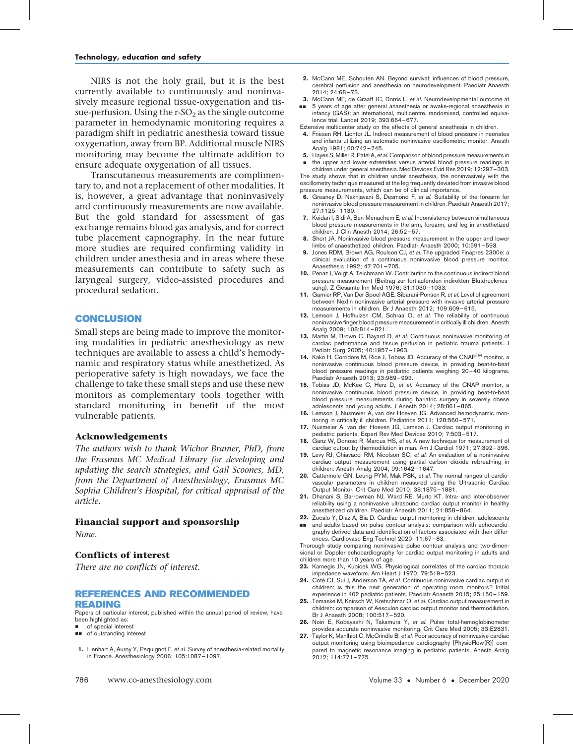NIRS is not the holy grail, but it is the best currently available to continuously and noninvasively measure regional tissue-oxygenation and tissue-perfusion. Using the  $r-SO<sub>2</sub>$  as the single outcome parameter in hemodynamic monitoring requires a paradigm shift in pediatric anesthesia toward tissue oxygenation, away from BP. Additional muscle NIRS monitoring may become the ultimate addition to ensure adequate oxygenation of all tissues.

Transcutaneous measurements are complimentary to, and not a replacement of other modalities. It is, however, a great advantage that noninvasively and continuously measurements are now available. But the gold standard for assessment of gas exchange remains blood gas analysis, and for correct tube placement capnography. In the near future more studies are required confirming validity in children under anesthesia and in areas where these measurements can contribute to safety such as laryngeal surgery, video-assisted procedures and procedural sedation.

#### **CONCLUSION**

Small steps are being made to improve the monitoring modalities in pediatric anesthesiology as new techniques are available to assess a child's hemodynamic and respiratory status while anesthetized. As perioperative safety is high nowadays, we face the challenge to take these small steps and use these new monitors as complementary tools together with standard monitoring in benefit of the most vulnerable patients.

#### Acknowledgements

The authors wish to thank Wichor Bramer, PhD, from the Erasmus MC Medical Library for developing and updating the search strategies, and Gail Scoones, MD, from the Department of Anesthesiology, Erasmus MC Sophia Children's Hospital, for critical appraisal of the article.

#### Financial support and sponsorship

 $N \cap \rho$ 

#### Conflicts of interest

There are no conflicts of interest.

#### REFERENCES AND RECOMMENDED READING

Papers of particular interest, published within the annual period of review, have been highlighted as:

- of special interest
- $\Box$  of outstanding interest
- 1. Lienhart A, Auroy Y, Pequignot F, et al. Survey of anesthesia-related mortality in France. Anesthesiology 2006; 105:1087–1097.
- 2. McCann ME, Schouten AN, Bevond survival: influences of blood pressure, cerebral perfusion and anesthesia on neurodevelopment. Paediatr Anaesth 2014; 24:68–73.
- 3. McCann ME, de Graaff JC, Dorris L, et al. Neurodevelopmental outcome at && 5 years of age after general anaesthesia or awake-regional anaesthesia in
- infancy (GAS): an international, multicentre, randomised, controlled equivalence trial. Lancet 2019; 393:664–677.
- Extensive multicenter study on the effects of general anesthesia in children.
- 4. Friesen RH, Lichtor JL. Indirect measurement of blood pressure in neonates and infants utilizing an automatic noninvasive oscillometric monitor. Anesth Analg 1981; 60:742–745.
- 5. Hayes S, Miller R, Patel A, et al. Comparison of blood pressure measurements in & the upper and lower extremities versus arterial blood pressure readings in

children under general anesthesia. Med Devices Evid Res 2019; 12:297–303. The study shows that in children under anesthesia, the noninvasively with the oscillometry technique measured at the leg frequently deviated from invasive blood pressure measurements, which can be of clinical importance.

- 6. Greaney D, Nakhjavani S, Desmond F, et al. Suitability of the forearm for noninvasive blood pressure measurement in children. Paediatr Anaesth 2017; 27:1125–1130.
- 7. Keidan I, Sidi A, Ben-Menachem E, et al. Inconsistency between simultaneous blood pressure measurements in the arm, forearm, and leg in anesthetized children. J Clin Anesth 2014; 26:52–57.
- 8. Short JA. Noninvasive blood pressure measurement in the upper and lower limbs of anaesthetized children. Paediatr Anaesth 2000; 10:591–593.
- 9. Jones RDM, Brown AG, Roulson CJ, et al. The upgraded Finapres 2300e: a clinical evaluation of a continuous noninvasive blood pressure monitor. Anaesthesia 1992; 47:701–705.
- 10. Penaz J, Voigt A, Teichmann W. Contribution to the continuous indirect blood pressure measurement (Beitrag zur fortlaufenden indirekten Blutdruckmessung). Z Gesamte Inn Med 1976; 31:1030–1033.
- 11. Garnier RP, Van Der Spoel AGE, Sibarani-Ponsen R, et al. Level of agreement between Nexfin noninvasive arterial pressure with invasive arterial pressure measurements in children. Br J Anaesth 2012; 109:609–615.
- 12. Lemson J, Hofhuizen CM, Schraa O, et al. The reliability of continuous noninvasive finger blood pressure measurement in critically ill children. Anesth Analg 2009; 108:814–821.
- 13. Martin M, Brown C, Bayard D, et al. Continuous noninvasive monitoring of cardiac performance and tissue perfusion in pediatric trauma patients. J Pediatr Surg 2005; 40:1957–1963.
- 14. Kako H, Corridore M, Rice J, Tobias JD. Accuracy of the CNAP™ monitor, a noninvasive continuous blood pressure device, in providing beat-to-beat blood pressure readings in pediatric patients weighing 20–40 kilograms. Paediatr Anaesth 2013; 23:989–993.
- 15. Tobias JD, McKee C, Herz D, et al. Accuracy of the CNAP monitor, a noninvasive continuous blood pressure device, in providing beat-to-beat blood pressure measurements during bariatric surgery in severely obese adolescents and young adults. J Anesth 2014; 28:861–865.
- 16. Lemson J, Nusmeier A, van der Hoeven JG. Advanced hemodynamic monitoring in critically ill children. Pediatrics 2011; 128:560–571.
- 17. Nusmeier A, van der Hoeven JG, Lemson J. Cardiac output monitoring in pediatric patients. Expert Rev Med Devices 2010; 7:503–517.
- 18. Ganz W, Donoso R, Marcus HS, et al. A new technique for measurement of cardiac output by thermodilution in man. Am J Cardiol 1971; 27:392–396.
- **19.** Levy RJ, Chiavacci RM, Nicolson SC, et al. An evaluation of a noninvasive cardiac output measurement using partial carbon dioxide rebreathing in children. Anesth Analg 2004; 99:1642–1647.
- 20. Cattermole GN, Leung PYM, Mak PSK, et al. The normal ranges of cardiovascular parameters in children measured using the Ultrasonic Cardiac Output Monitor. Crit Care Med 2010; 38:1875–1881.
- 21. Dhanani S, Barrowman NJ, Ward RE, Murto KT. Intra- and inter-observer reliability using a noninvasive ultrasound cardiac output monitor in healthy anesthetized children. Paediatr Anaesth 2011; 21:858–864.
- 22. Zocalo Y, Diaz A, Bia D. Cardiac output monitoring in children, adolescents
- **ad** and adults based on pulse contour analysis: comparison with echocardiography-derived data and identification of factors associated with their differences. Cardiovasc Eng Technol 2020; 11:67–83.

Thorough study comparing noninvasive pulse contour analysis and two-dimensional or Doppler echocardiography for cardiac output monitoring in adults and children more than 10 years of age.

- 23. Karnegis JN, Kubicek WG. Physiological correlates of the cardiac thoracic impedance waveform. Am Heart J 1970; 79:519–523.
- 24. Coté CJ, Sui J, Anderson TA, et al. Continuous noninvasive cardiac output in children: is this the next generation of operating room monitors? Initial experience in 402 pediatric patients. Paediatr Anaesth 2015; 25:150–159.
- 25. Tomaske M, Knirsch W, Kretschmar O, et al. Cardiac output measurement in children: comparison of Aesculon cardiac output monitor and thermodilution. Br J Anaesth 2008; 100:517–520.
- 26. Noiri E, Kobayashi N, Takamura Y, et al. Pulse total-hemoglobinometer provides accurate noninvasive monitoring. Crit Care Med 2005; 33:E2831.
- 27. Taylor K, Manlhiot C, McCrindle B, et al. Poor accuracy of noninvasive cardiac output monitoring using bioimpedance cardiography [PhysioFlow(R)] compared to magnetic resonance imaging in pediatric patients. Anesth Analg 2012; 114:771–775.